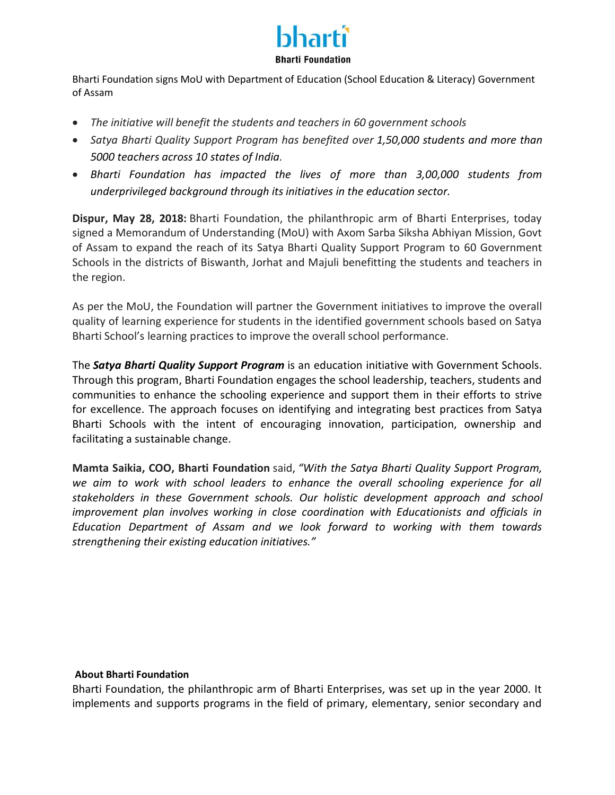

Bharti Foundation signs MoU with Department of Education (School Education & Literacy) Government of Assam

- *The initiative will benefit the students and teachers in 60 government schools*
- *Satya Bharti Quality Support Program has benefited over 1,50,000 students and more than 5000 teachers across 10 states of India.*
- *Bharti Foundation has impacted the lives of more than 3,00,000 students from underprivileged background through its initiatives in the education sector.*

**Dispur, May 28, 2018:** Bharti Foundation, the philanthropic arm of Bharti Enterprises, today signed a Memorandum of Understanding (MoU) with Axom Sarba Siksha Abhiyan Mission, Govt of Assam to expand the reach of its Satya Bharti Quality Support Program to 60 Government Schools in the districts of Biswanth, Jorhat and Majuli benefitting the students and teachers in the region.

As per the MoU, the Foundation will partner the Government initiatives to improve the overall quality of learning experience for students in the identified government schools based on Satya Bharti School's learning practices to improve the overall school performance.

The *Satya Bharti Quality Support Program* is an education initiative with Government Schools. Through this program, Bharti Foundation engages the school leadership, teachers, students and communities to enhance the schooling experience and support them in their efforts to strive for excellence. The approach focuses on identifying and integrating best practices from Satya Bharti Schools with the intent of encouraging innovation, participation, ownership and facilitating a sustainable change.

**Mamta Saikia, COO, Bharti Foundation** said, *"With the Satya Bharti Quality Support Program, we aim to work with school leaders to enhance the overall schooling experience for all stakeholders in these Government schools. Our holistic development approach and school improvement plan involves working in close coordination with Educationists and officials in Education Department of Assam and we look forward to working with them towards strengthening their existing education initiatives."*

## **About Bharti Foundation**

Bharti Foundation, the philanthropic arm of Bharti Enterprises, was set up in the year 2000. It implements and supports programs in the field of primary, elementary, senior secondary and